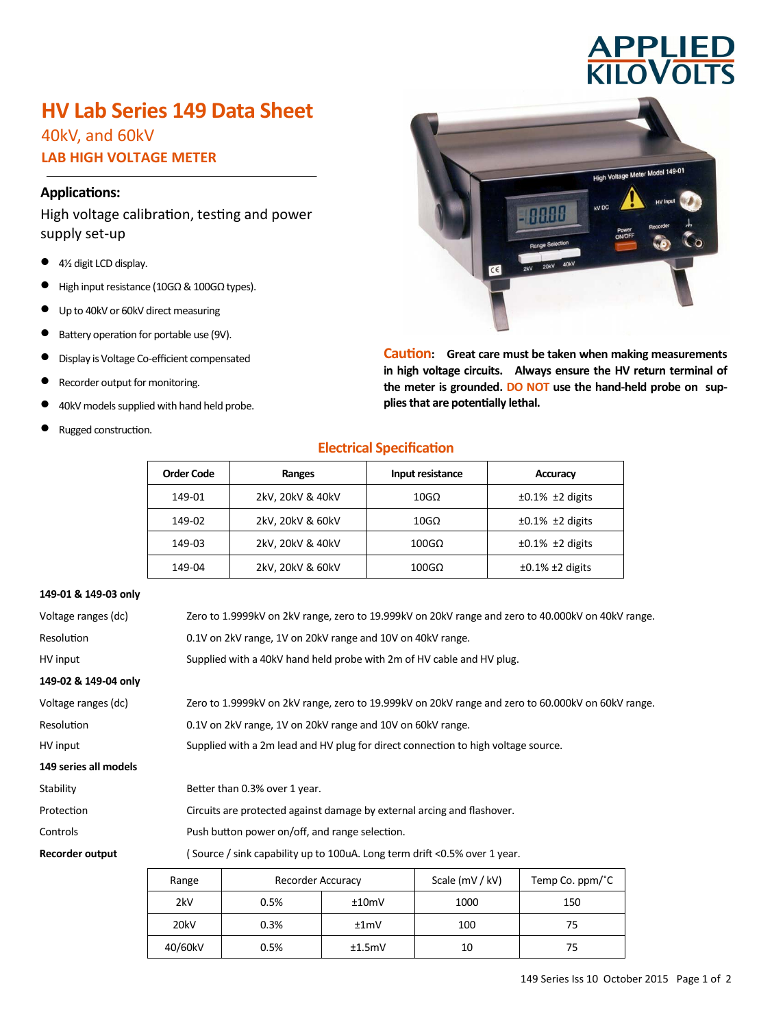# **APPLIED<br>KILOVOLTS**

# **HV Lab Series 149 Data Sheet**

40kV, and 60kV **LAB HIGH VOLTAGE METER**

# **Applications:**

High voltage calibration, testing and power supply set-up

- 4½ digit LCD display.
- $\bullet$  High input resistance (10GΩ & 100GΩ types).
- Up to 40kV or 60kV direct measuring
- Battery operation for portable use (9V).
- Display is Voltage Co-efficient compensated
- Recorder output for monitoring.
- 40kV models supplied with hand held probe.
- Rugged construction.



**Caution: Great care must be taken when making measurements in high voltage circuits. Always ensure the HV return terminal of the meter is grounded. DO NOT use the hand-held probe on supplies that are potentially lethal.**

# **Electrical Specification**

| <b>Order Code</b> | Ranges           | Input resistance      | Accuracy                   |
|-------------------|------------------|-----------------------|----------------------------|
| 149-01            | 2kV, 20kV & 40kV | $10G\Omega$           | $\pm 0.1\%$ $\pm 2$ digits |
| 149-02            | 2kV, 20kV & 60kV | $10G\Omega$           | $\pm 0.1\%$ $\pm 2$ digits |
| 149-03            | 2kV, 20kV & 40kV | $100$ G $\Omega$      | $\pm 0.1\%$ $\pm 2$ digits |
| 149-04            | 2kV, 20kV & 60kV | $100 \text{G} \Omega$ | $\pm 0.1\%$ $\pm 2$ digits |

#### **149-01 & 149-03 only**

| Voltage ranges (dc)   |                                                                           | Zero to 1.9999kV on 2kV range, zero to 19.999kV on 20kV range and zero to 40.000kV on 40kV range. |                 |                 |  |
|-----------------------|---------------------------------------------------------------------------|---------------------------------------------------------------------------------------------------|-----------------|-----------------|--|
| <b>Resolution</b>     |                                                                           | 0.1V on 2kV range, 1V on 20kV range and 10V on 40kV range.                                        |                 |                 |  |
| HV input              |                                                                           | Supplied with a 40kV hand held probe with 2m of HV cable and HV plug.                             |                 |                 |  |
| 149-02 & 149-04 only  |                                                                           |                                                                                                   |                 |                 |  |
| Voltage ranges (dc)   |                                                                           | Zero to 1.9999kV on 2kV range, zero to 19.999kV on 20kV range and zero to 60.000kV on 60kV range. |                 |                 |  |
| Resolution            |                                                                           | 0.1V on 2kV range, 1V on 20kV range and 10V on 60kV range.                                        |                 |                 |  |
| HV input              |                                                                           | Supplied with a 2m lead and HV plug for direct connection to high voltage source.                 |                 |                 |  |
| 149 series all models |                                                                           |                                                                                                   |                 |                 |  |
| Stability             |                                                                           | Better than 0.3% over 1 year.                                                                     |                 |                 |  |
| Protection            | Circuits are protected against damage by external arcing and flashover.   |                                                                                                   |                 |                 |  |
| Controls              | Push button power on/off, and range selection.                            |                                                                                                   |                 |                 |  |
| Recorder output       | (Source / sink capability up to 100uA. Long term drift <0.5% over 1 year. |                                                                                                   |                 |                 |  |
|                       | Range                                                                     | Recorder Accuracy                                                                                 | Scale (mV / kV) | Temp Co. ppm/°C |  |

| Range   | Recorder Accuracy |        | Scale (mV / kV) | Temp Co. $ppm$ <sup><math>\degree</math></sup> C |
|---------|-------------------|--------|-----------------|--------------------------------------------------|
| 2kV     | 0.5%              | ±10mV  | 1000            | 150                                              |
| 20kV    | 0.3%              | ±1mV   | 100             | 75                                               |
| 40/60kV | 0.5%              | ±1.5mV | 10              | 75                                               |